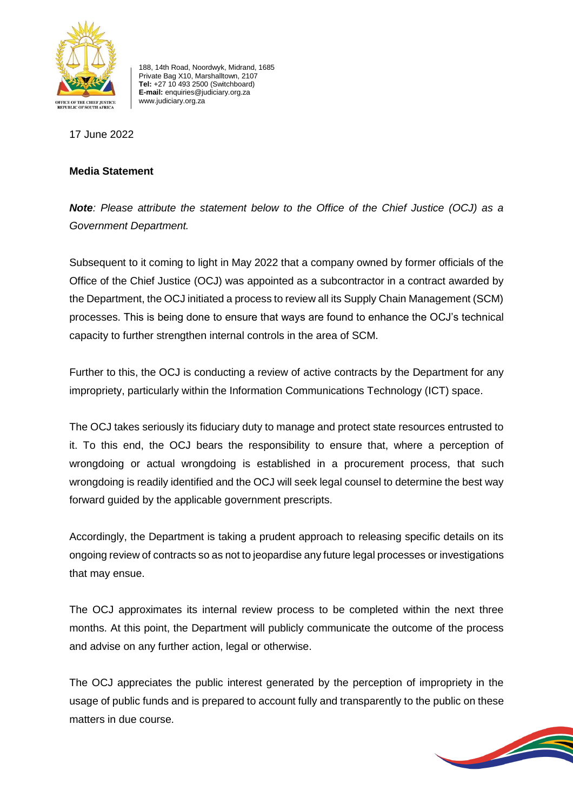

188, 14th Road, Noordwyk, Midrand, 1685 Private Bag X10, Marshalltown, 2107 **Tel:** +27 10 493 2500 (Switchboard) **E-mail:** enquiries@judiciary.org.za www.judiciary.org.za

17 June 2022

## **Media Statement**

*Note: Please attribute the statement below to the Office of the Chief Justice (OCJ) as a Government Department.*

Subsequent to it coming to light in May 2022 that a company owned by former officials of the Office of the Chief Justice (OCJ) was appointed as a subcontractor in a contract awarded by the Department, the OCJ initiated a process to review all its Supply Chain Management (SCM) processes. This is being done to ensure that ways are found to enhance the OCJ's technical capacity to further strengthen internal controls in the area of SCM.

Further to this, the OCJ is conducting a review of active contracts by the Department for any impropriety, particularly within the Information Communications Technology (ICT) space.

The OCJ takes seriously its fiduciary duty to manage and protect state resources entrusted to it. To this end, the OCJ bears the responsibility to ensure that, where a perception of wrongdoing or actual wrongdoing is established in a procurement process, that such wrongdoing is readily identified and the OCJ will seek legal counsel to determine the best way forward guided by the applicable government prescripts.

Accordingly, the Department is taking a prudent approach to releasing specific details on its ongoing review of contracts so as not to jeopardise any future legal processes or investigations that may ensue.

The OCJ approximates its internal review process to be completed within the next three months. At this point, the Department will publicly communicate the outcome of the process and advise on any further action, legal or otherwise.

The OCJ appreciates the public interest generated by the perception of impropriety in the usage of public funds and is prepared to account fully and transparently to the public on these matters in due course.